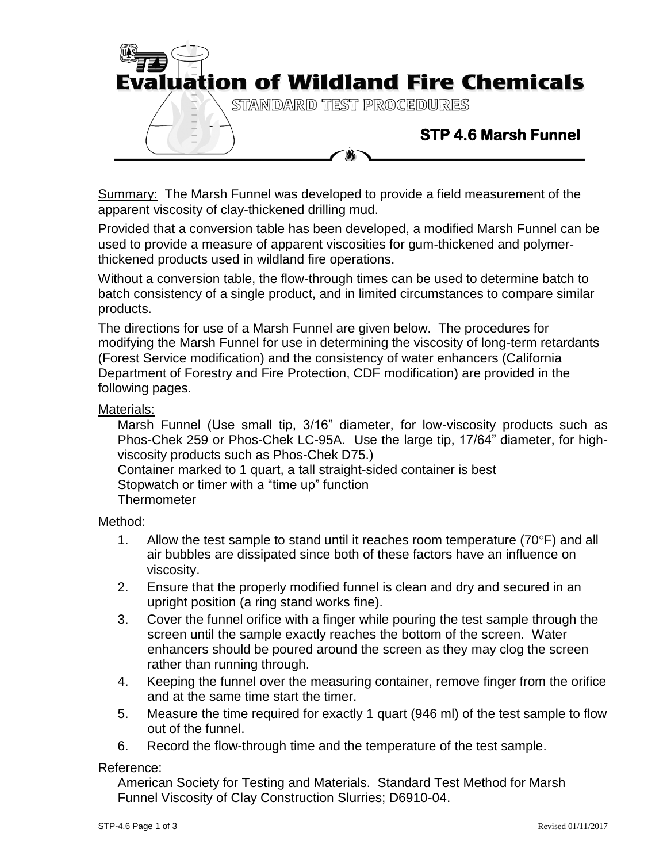

Summary: The Marsh Funnel was developed to provide a field measurement of the apparent viscosity of clay-thickened drilling mud.

Provided that a conversion table has been developed, a modified Marsh Funnel can be used to provide a measure of apparent viscosities for gum-thickened and polymerthickened products used in wildland fire operations.

Without a conversion table, the flow-through times can be used to determine batch to batch consistency of a single product, and in limited circumstances to compare similar products.

The directions for use of a Marsh Funnel are given below. The procedures for modifying the Marsh Funnel for use in determining the viscosity of long-term retardants (Forest Service modification) and the consistency of water enhancers (California Department of Forestry and Fire Protection, CDF modification) are provided in the following pages.

# Materials:

Marsh Funnel (Use small tip, 3/16" diameter, for low-viscosity products such as Phos-Chek 259 or Phos-Chek LC-95A. Use the large tip, 17/64" diameter, for highviscosity products such as Phos-Chek D75.) Container marked to 1 quart, a tall straight-sided container is best Stopwatch or timer with a "time up" function **Thermometer** 

### Method:

- 1. Allow the test sample to stand until it reaches room temperature  $(70^{\circ}F)$  and all air bubbles are dissipated since both of these factors have an influence on viscosity.
- 2. Ensure that the properly modified funnel is clean and dry and secured in an upright position (a ring stand works fine).
- 3. Cover the funnel orifice with a finger while pouring the test sample through the screen until the sample exactly reaches the bottom of the screen. Water enhancers should be poured around the screen as they may clog the screen rather than running through.
- 4. Keeping the funnel over the measuring container, remove finger from the orifice and at the same time start the timer.
- 5. Measure the time required for exactly 1 quart (946 ml) of the test sample to flow out of the funnel.
- 6. Record the flow-through time and the temperature of the test sample.

# Reference:

American Society for Testing and Materials. Standard Test Method for Marsh Funnel Viscosity of Clay Construction Slurries; D6910-04.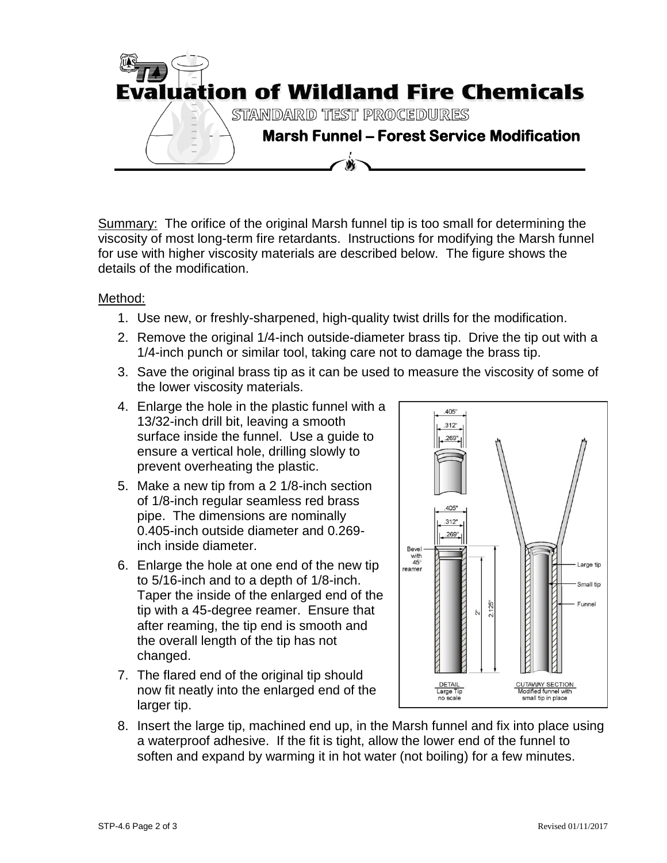

Summary: The orifice of the original Marsh funnel tip is too small for determining the viscosity of most long-term fire retardants. Instructions for modifying the Marsh funnel for use with higher viscosity materials are described below. The figure shows the details of the modification.

# Method:

- 1. Use new, or freshly-sharpened, high-quality twist drills for the modification.
- 2. Remove the original 1/4-inch outside-diameter brass tip. Drive the tip out with a 1/4-inch punch or similar tool, taking care not to damage the brass tip.
- 3. Save the original brass tip as it can be used to measure the viscosity of some of the lower viscosity materials.
- 4. Enlarge the hole in the plastic funnel with a 13/32-inch drill bit, leaving a smooth surface inside the funnel. Use a guide to ensure a vertical hole, drilling slowly to prevent overheating the plastic.
- 5. Make a new tip from a 2 1/8-inch section of 1/8-inch regular seamless red brass pipe. The dimensions are nominally 0.405-inch outside diameter and 0.269 inch inside diameter.
- 6. Enlarge the hole at one end of the new tip to 5/16-inch and to a depth of 1/8-inch. Taper the inside of the enlarged end of the tip with a 45-degree reamer. Ensure that after reaming, the tip end is smooth and the overall length of the tip has not changed.
- 7. The flared end of the original tip should now fit neatly into the enlarged end of the larger tip.



8. Insert the large tip, machined end up, in the Marsh funnel and fix into place using a waterproof adhesive. If the fit is tight, allow the lower end of the funnel to soften and expand by warming it in hot water (not boiling) for a few minutes.